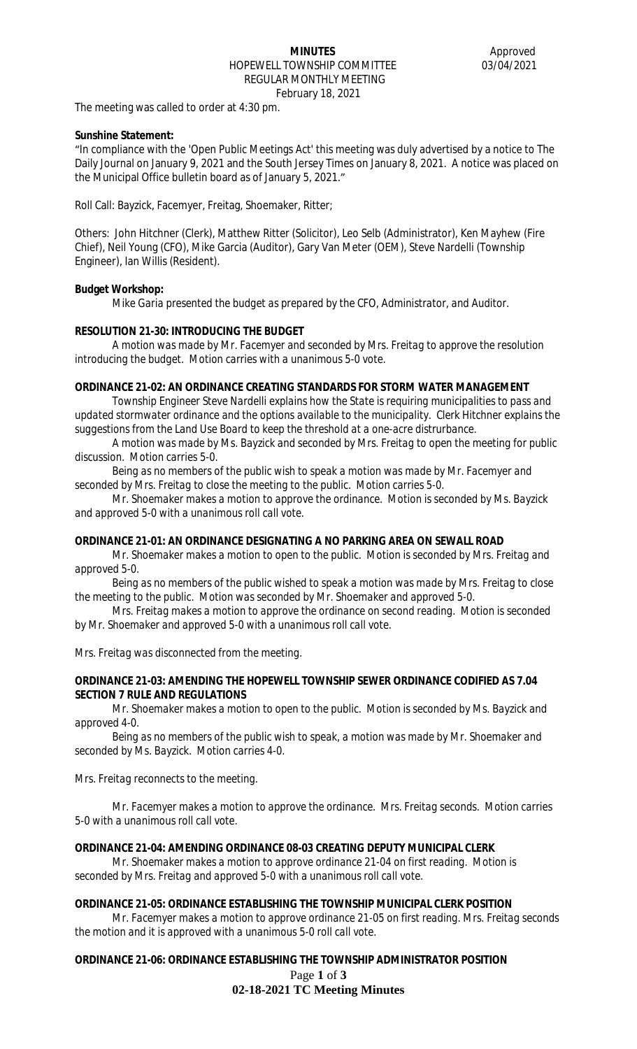### **MINUTES** Approved HOPEWELL TOWNSHIP COMMITTEE 03/04/2021 REGULAR MONTHLY MEETING February 18, 2021

The meeting was called to order at 4:30 pm.

## **Sunshine Statement:**

"In compliance with the 'Open Public Meetings Act' this meeting was duly advertised by a notice to The Daily Journal on January 9, 2021 and the South Jersey Times on January 8, 2021. A notice was placed on the Municipal Office bulletin board as of January 5, 2021."

Roll Call: Bayzick, Facemyer, Freitag, Shoemaker, Ritter;

Others: John Hitchner (Clerk), Matthew Ritter (Solicitor), Leo Selb (Administrator), Ken Mayhew (Fire Chief), Neil Young (CFO), Mike Garcia (Auditor), Gary Van Meter (OEM), Steve Nardelli (Township Engineer), Ian Willis (Resident).

## **Budget Workshop:**

*Mike Garia presented the budget as prepared by the CFO, Administrator, and Auditor.*

# **RESOLUTION 21-30: INTRODUCING THE BUDGET**

*A motion was made by Mr. Facemyer and seconded by Mrs. Freitag to approve the resolution introducing the budget. Motion carries with a unanimous 5-0 vote.*

## **ORDINANCE 21-02: AN ORDINANCE CREATING STANDARDS FOR STORM WATER MANAGEMENT**

*Township Engineer Steve Nardelli explains how the State is requiring municipalities to pass and updated stormwater ordinance and the options available to the municipality. Clerk Hitchner explains the suggestions from the Land Use Board to keep the threshold at a one-acre distrurbance.*

*A motion was made by Ms. Bayzick and seconded by Mrs. Freitag to open the meeting for public discussion. Motion carries 5-0.* 

*Being as no members of the public wish to speak a motion was made by Mr. Facemyer and seconded by Mrs. Freitag to close the meeting to the public. Motion carries 5-0.*

*Mr. Shoemaker makes a motion to approve the ordinance. Motion is seconded by Ms. Bayzick and approved 5-0 with a unanimous roll call vote.*

# **ORDINANCE 21-01: AN ORDINANCE DESIGNATING A NO PARKING AREA ON SEWALL ROAD**

*Mr. Shoemaker makes a motion to open to the public. Motion is seconded by Mrs. Freitag and approved 5-0.*

*Being as no members of the public wished to speak a motion was made by Mrs. Freitag to close the meeting to the public. Motion was seconded by Mr. Shoemaker and approved 5-0.*

*Mrs. Freitag makes a motion to approve the ordinance on second reading. Motion is seconded by Mr. Shoemaker and approved 5-0 with a unanimous roll call vote.*

*Mrs. Freitag was disconnected from the meeting.*

## **ORDINANCE 21-03: AMENDING THE HOPEWELL TOWNSHIP SEWER ORDINANCE CODIFIED AS 7.04 SECTION 7 RULE AND REGULATIONS**

*Mr. Shoemaker makes a motion to open to the public. Motion is seconded by Ms. Bayzick and approved 4-0.*

*Being as no members of the public wish to speak, a motion was made by Mr. Shoemaker and seconded by Ms. Bayzick. Motion carries 4-0.*

*Mrs. Freitag reconnects to the meeting.*

*Mr. Facemyer makes a motion to approve the ordinance. Mrs. Freitag seconds. Motion carries 5-0 with a unanimous roll call vote.*

# **ORDINANCE 21-04: AMENDING ORDINANCE 08-03 CREATING DEPUTY MUNICIPAL CLERK**

*Mr. Shoemaker makes a motion to approve ordinance 21-04 on first reading. Motion is seconded by Mrs. Freitag and approved 5-0 with a unanimous roll call vote.*

### **ORDINANCE 21-05: ORDINANCE ESTABLISHING THE TOWNSHIP MUNICIPAL CLERK POSITION**

*Mr. Facemyer makes a motion to approve ordinance 21-05 on first reading. Mrs. Freitag seconds the motion and it is approved with a unanimous 5-0 roll call vote.*

Page **1** of **3 02-18-2021 TC Meeting Minutes ORDINANCE 21-06: ORDINANCE ESTABLISHING THE TOWNSHIP ADMINISTRATOR POSITION**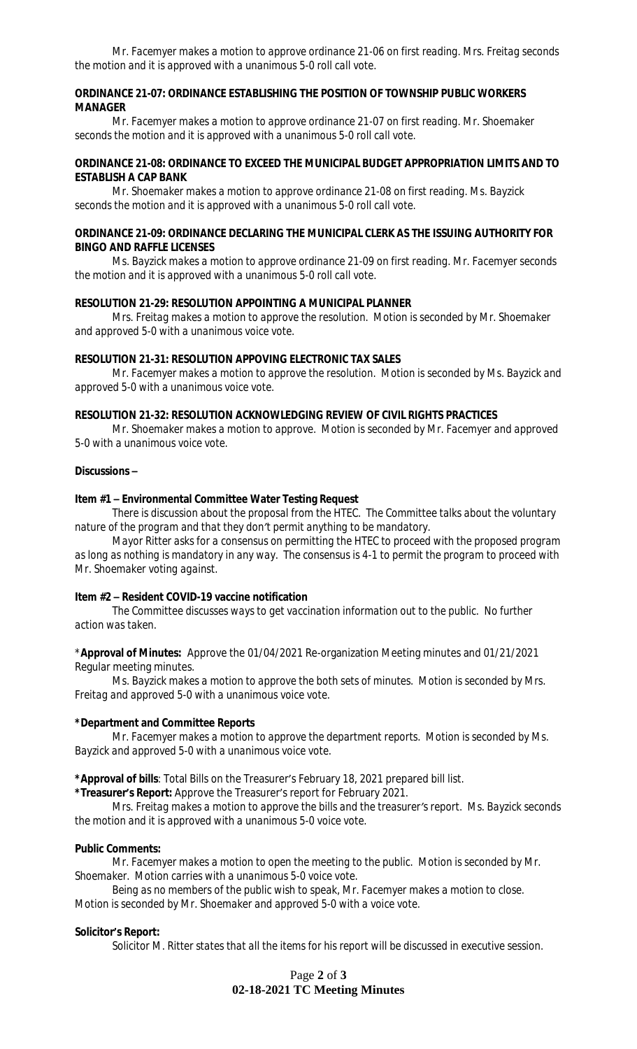*Mr. Facemyer makes a motion to approve ordinance 21-06 on first reading. Mrs. Freitag seconds the motion and it is approved with a unanimous 5-0 roll call vote.*

### **ORDINANCE 21-07: ORDINANCE ESTABLISHING THE POSITION OF TOWNSHIP PUBLIC WORKERS MANAGER**

*Mr. Facemyer makes a motion to approve ordinance 21-07 on first reading. Mr. Shoemaker seconds the motion and it is approved with a unanimous 5-0 roll call vote.*

### **ORDINANCE 21-08: ORDINANCE TO EXCEED THE MUNICIPAL BUDGET APPROPRIATION LIMITS AND TO ESTABLISH A CAP BANK**

*Mr. Shoemaker makes a motion to approve ordinance 21-08 on first reading. Ms. Bayzick seconds the motion and it is approved with a unanimous 5-0 roll call vote.*

## **ORDINANCE 21-09: ORDINANCE DECLARING THE MUNICIPAL CLERK AS THE ISSUING AUTHORITY FOR BINGO AND RAFFLE LICENSES**

*Ms. Bayzick makes a motion to approve ordinance 21-09 on first reading. Mr. Facemyer seconds the motion and it is approved with a unanimous 5-0 roll call vote.*

### **RESOLUTION 21-29: RESOLUTION APPOINTING A MUNICIPAL PLANNER**

*Mrs. Freitag makes a motion to approve the resolution. Motion is seconded by Mr. Shoemaker and approved 5-0 with a unanimous voice vote.*

### **RESOLUTION 21-31: RESOLUTION APPOVING ELECTRONIC TAX SALES**

*Mr. Facemyer makes a motion to approve the resolution. Motion is seconded by Ms. Bayzick and approved 5-0 with a unanimous voice vote.*

## **RESOLUTION 21-32: RESOLUTION ACKNOWLEDGING REVIEW OF CIVIL RIGHTS PRACTICES**

*Mr. Shoemaker makes a motion to approve. Motion is seconded by Mr. Facemyer and approved 5-0 with a unanimous voice vote.*

## **Discussions –**

## **Item #1 – Environmental Committee Water Testing Request**

*There is discussion about the proposal from the HTEC. The Committee talks about the voluntary nature of the program and that they don't permit anything to be mandatory.*

*Mayor Ritter asks for a consensus on permitting the HTEC to proceed with the proposed program as long as nothing is mandatory in any way. The consensus is 4-1 to permit the program to proceed with Mr. Shoemaker voting against.* 

## **Item #2 – Resident COVID-19 vaccine notification**

*The Committee discusses ways to get vaccination information out to the public. No further action was taken.*

\***Approval of Minutes:** Approve the 01/04/2021 Re-organization Meeting minutes and 01/21/2021 Regular meeting minutes.

*Ms. Bayzick makes a motion to approve the both sets of minutes. Motion is seconded by Mrs. Freitag and approved 5-0 with a unanimous voice vote.*

### **\*Department and Committee Reports**

*Mr. Facemyer makes a motion to approve the department reports. Motion is seconded by Ms. Bayzick and approved 5-0 with a unanimous voice vote.*

**\*Approval of bills**: Total Bills on the Treasurer's February 18, 2021 prepared bill list.

**\*Treasurer's Report:** Approve the Treasurer's report for February 2021.

*Mrs. Freitag makes a motion to approve the bills and the treasurer's report. Ms. Bayzick seconds the motion and it is approved with a unanimous 5-0 voice vote.*

### **Public Comments:**

*Mr. Facemyer makes a motion to open the meeting to the public. Motion is seconded by Mr. Shoemaker. Motion carries with a unanimous 5-0 voice vote.*

*Being as no members of the public wish to speak, Mr. Facemyer makes a motion to close. Motion is seconded by Mr. Shoemaker and approved 5-0 with a voice vote.*

### **Solicitor's Report:**

*Solicitor M. Ritter states that all the items for his report will be discussed in executive session.*

Page **2** of **3 02-18-2021 TC Meeting Minutes**